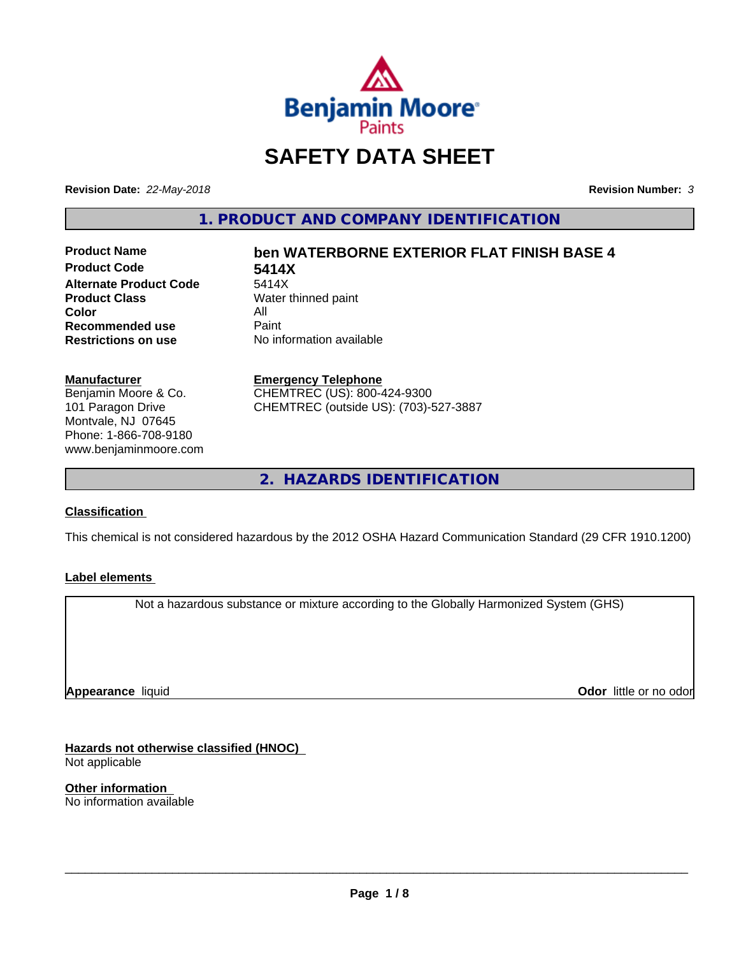

# **SAFETY DATA SHEET**

**Revision Date:** *22-May-2018* **Revision Number:** *3*

**1. PRODUCT AND COMPANY IDENTIFICATION**

**Product Code 5414X Alternate Product Code** 5414X<br>**Product Class** Water **Color** All<br> **Recommended use** Paint **Recommended use**<br>Restrictions on use

# **Product Name ben WATERBORNE EXTERIOR FLAT FINISH BASE 4**

**Water thinned paint No information available** 

# **Manufacturer**

Benjamin Moore & Co. 101 Paragon Drive Montvale, NJ 07645 Phone: 1-866-708-9180 www.benjaminmoore.com

# **Emergency Telephone**

CHEMTREC (US): 800-424-9300 CHEMTREC (outside US): (703)-527-3887

**2. HAZARDS IDENTIFICATION**

# **Classification**

This chemical is not considered hazardous by the 2012 OSHA Hazard Communication Standard (29 CFR 1910.1200)

# **Label elements**

Not a hazardous substance or mixture according to the Globally Harmonized System (GHS)

**Appearance** liquid

**Odor** little or no odor

**Hazards not otherwise classified (HNOC)** Not applicable

**Other information** No information available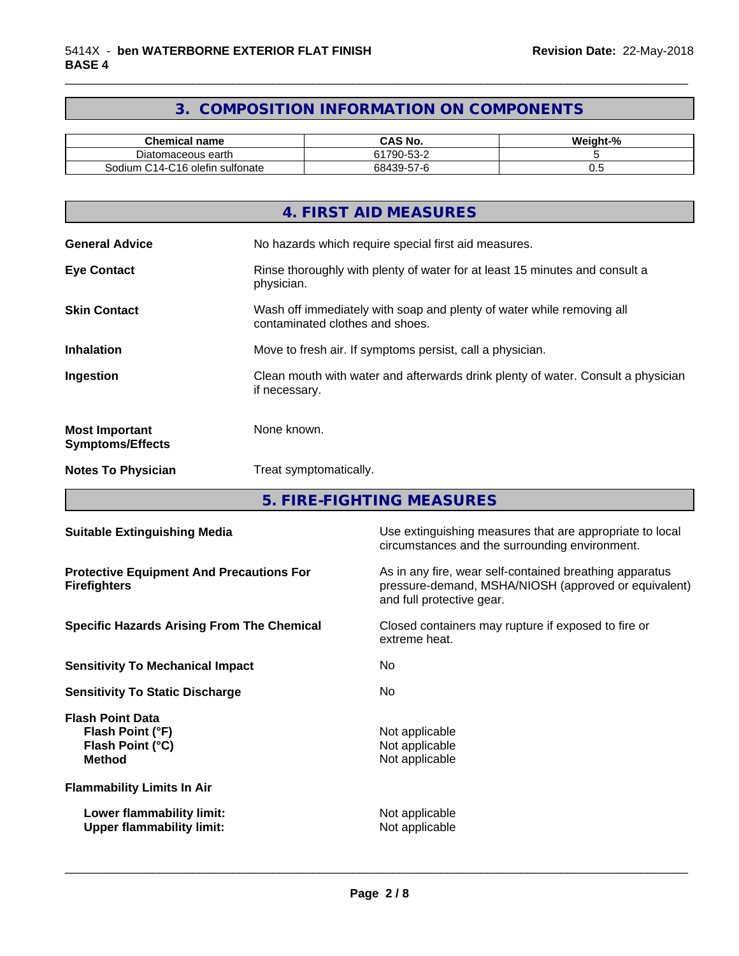# **3. COMPOSITION INFORMATION ON COMPONENTS**

\_\_\_\_\_\_\_\_\_\_\_\_\_\_\_\_\_\_\_\_\_\_\_\_\_\_\_\_\_\_\_\_\_\_\_\_\_\_\_\_\_\_\_\_\_\_\_\_\_\_\_\_\_\_\_\_\_\_\_\_\_\_\_\_\_\_\_\_\_\_\_\_\_\_\_\_\_\_\_\_\_\_\_\_\_\_\_\_\_\_\_\_\_

| <b>Chemical name</b>                                                                       | <b>CAS No.</b>         | О.<br><br>Weight-% |
|--------------------------------------------------------------------------------------------|------------------------|--------------------|
| Diatomaceous earth                                                                         | <sup>∼1</sup> 790-53-∠ |                    |
| $\overline{\phantom{a}}$<br>$\sim$<br>. .<br>sulfonate<br>30dium.<br>-C16 olefin<br>u 14-' | 68439-57-6             | v.J                |

|                                                  | 4. FIRST AID MEASURES                                                                                    |
|--------------------------------------------------|----------------------------------------------------------------------------------------------------------|
| <b>General Advice</b>                            | No hazards which require special first aid measures.                                                     |
| <b>Eye Contact</b>                               | Rinse thoroughly with plenty of water for at least 15 minutes and consult a<br>physician.                |
| <b>Skin Contact</b>                              | Wash off immediately with soap and plenty of water while removing all<br>contaminated clothes and shoes. |
| <b>Inhalation</b>                                | Move to fresh air. If symptoms persist, call a physician.                                                |
| Ingestion                                        | Clean mouth with water and afterwards drink plenty of water. Consult a physician<br>if necessary.        |
| <b>Most Important</b><br><b>Symptoms/Effects</b> | None known.                                                                                              |
| <b>Notes To Physician</b>                        | Treat symptomatically.                                                                                   |
|                                                  |                                                                                                          |

**5. FIRE-FIGHTING MEASURES**

| <b>Suitable Extinguishing Media</b>                                              | Use extinguishing measures that are appropriate to local<br>circumstances and the surrounding environment.                                   |
|----------------------------------------------------------------------------------|----------------------------------------------------------------------------------------------------------------------------------------------|
| <b>Protective Equipment And Precautions For</b><br><b>Firefighters</b>           | As in any fire, wear self-contained breathing apparatus<br>pressure-demand, MSHA/NIOSH (approved or equivalent)<br>and full protective gear. |
| <b>Specific Hazards Arising From The Chemical</b>                                | Closed containers may rupture if exposed to fire or<br>extreme heat.                                                                         |
| <b>Sensitivity To Mechanical Impact</b>                                          | No.                                                                                                                                          |
| <b>Sensitivity To Static Discharge</b>                                           | No                                                                                                                                           |
| <b>Flash Point Data</b><br>Flash Point (°F)<br>Flash Point (°C)<br><b>Method</b> | Not applicable<br>Not applicable<br>Not applicable                                                                                           |
| <b>Flammability Limits In Air</b>                                                |                                                                                                                                              |
| Lower flammability limit:<br><b>Upper flammability limit:</b>                    | Not applicable<br>Not applicable                                                                                                             |
|                                                                                  |                                                                                                                                              |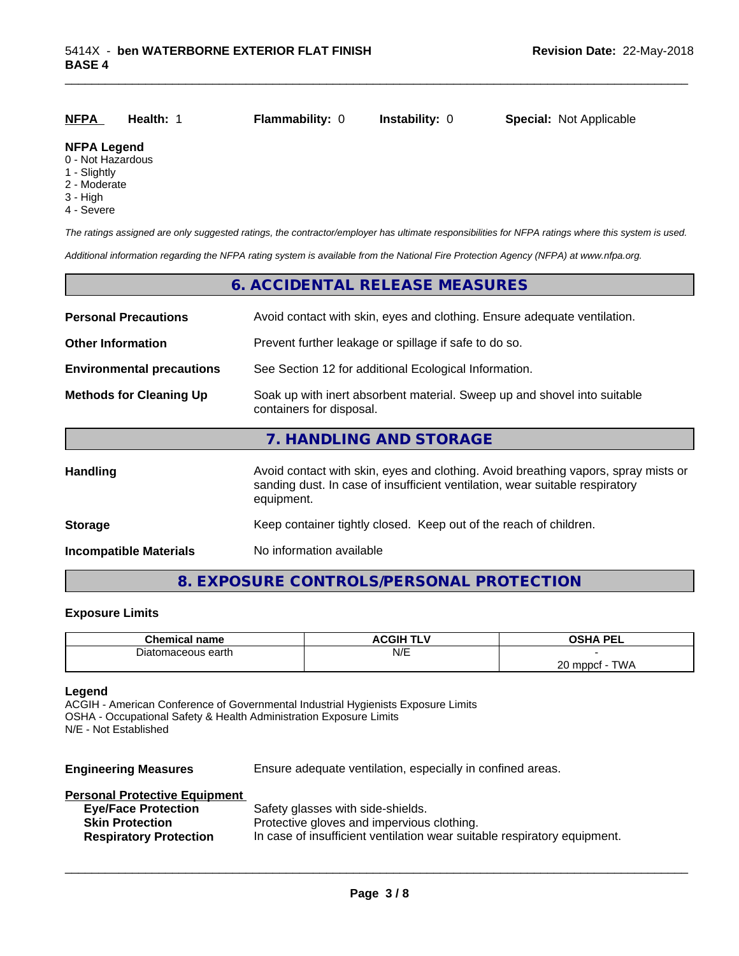| <u>NFPA</u>        | Health: 1 | <b>Flammability: 0</b> | <b>Instability: 0</b> | <b>Special: Not Applicable</b> |  |
|--------------------|-----------|------------------------|-----------------------|--------------------------------|--|
| <b>NFPA Legend</b> |           |                        |                       |                                |  |

#### 0 - Not Hazardous

- 1 Slightly
- 2 Moderate
- 3 High
- 4 Severe

*The ratings assigned are only suggested ratings, the contractor/employer has ultimate responsibilities for NFPA ratings where this system is used.*

*Additional information regarding the NFPA rating system is available from the National Fire Protection Agency (NFPA) at www.nfpa.org.*

# **6. ACCIDENTAL RELEASE MEASURES**

| <b>Personal Precautions</b>      | Avoid contact with skin, eyes and clothing. Ensure adequate ventilation.                                                                                                         |
|----------------------------------|----------------------------------------------------------------------------------------------------------------------------------------------------------------------------------|
| <b>Other Information</b>         | Prevent further leakage or spillage if safe to do so.                                                                                                                            |
| <b>Environmental precautions</b> | See Section 12 for additional Ecological Information.                                                                                                                            |
| <b>Methods for Cleaning Up</b>   | Soak up with inert absorbent material. Sweep up and shovel into suitable<br>containers for disposal.                                                                             |
|                                  | 7. HANDLING AND STORAGE                                                                                                                                                          |
| Handling                         | Avoid contact with skin, eyes and clothing. Avoid breathing vapors, spray mists or<br>sanding dust. In case of insufficient ventilation, wear suitable respiratory<br>equipment. |
| <b>Storage</b>                   | Keep container tightly closed. Keep out of the reach of children.                                                                                                                |
| <b>Incompatible Materials</b>    | No information available                                                                                                                                                         |

# **8. EXPOSURE CONTROLS/PERSONAL PROTECTION**

# **Exposure Limits**

| <b>Chemical</b><br>name         | 2001177117<br>ACGIF<br>. L | <b>USHA PEI</b><br>Aחכ<br>-- |
|---------------------------------|----------------------------|------------------------------|
| , earth<br>Diator<br>anaceous o | N/E                        |                              |
|                                 |                            | ററ<br>TWA<br>mppct<br>∠∪     |

# **Legend**

ACGIH - American Conference of Governmental Industrial Hygienists Exposure Limits OSHA - Occupational Safety & Health Administration Exposure Limits N/E - Not Established

**Engineering Measures** Ensure adequate ventilation, especially in confined areas.

# **Personal Protective Equipment**

| <b>Eye/Face Protection</b>    | Safety glasses with side-shields.                                        |
|-------------------------------|--------------------------------------------------------------------------|
| <b>Skin Protection</b>        | Protective gloves and impervious clothing.                               |
| <b>Respiratory Protection</b> | In case of insufficient ventilation wear suitable respiratory equipment. |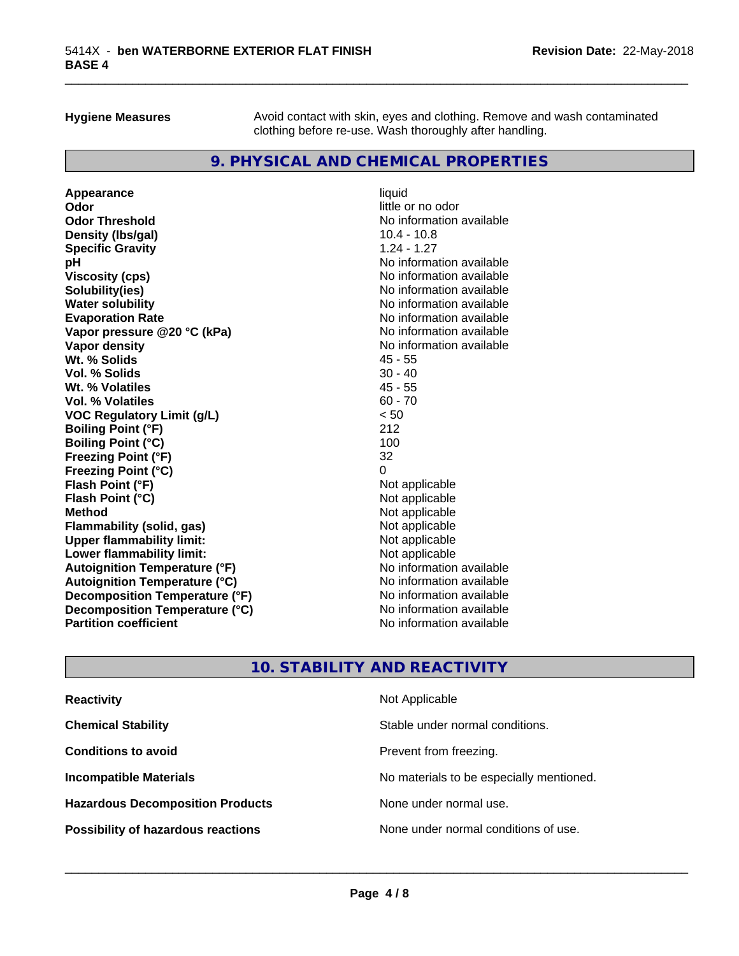**Hygiene Measures** Avoid contact with skin, eyes and clothing. Remove and wash contaminated clothing before re-use. Wash thoroughly after handling.

\_\_\_\_\_\_\_\_\_\_\_\_\_\_\_\_\_\_\_\_\_\_\_\_\_\_\_\_\_\_\_\_\_\_\_\_\_\_\_\_\_\_\_\_\_\_\_\_\_\_\_\_\_\_\_\_\_\_\_\_\_\_\_\_\_\_\_\_\_\_\_\_\_\_\_\_\_\_\_\_\_\_\_\_\_\_\_\_\_\_\_\_\_

# **9. PHYSICAL AND CHEMICAL PROPERTIES**

**Appearance** liquid **Odor** little or no odor **Odor Threshold**<br> **Density (Ibs/gal)**<br> **Density (Ibs/gal)**<br> **No information available**<br>  $10.4 - 10.8$ **Density (lbs/gal) Specific Gravity** 1.24 - 1.27 **pH**<br>
Viscosity (cps) The Contract of the Contract of the Viscosity (cps) and Viscosity (cps) **Solubility(ies)** No information available **Water solubility Mater Solubility**<br> **Evaporation Rate** Mate No information available **Vapor pressure @20 °C (kPa)** No information available **Vapor density Vapor density No information available Wt. % Solids** 45 - 55 **Vol. % Solids** 30 - 40 **Wt. % Volatiles** 45 - 55 **Vol. % Volatiles** 60 - 70 **VOC Regulatory Limit (g/L)** < 50 **Boiling Point (°F)** 212 **Boiling Point (°C)** 100 **Freezing Point (°F)** 32 **Freezing Point (°C)** 0 **Flash Point (°F)**<br> **Flash Point (°C)**<br> **Flash Point (°C)**<br> **C Flash Point (°C) Method** Not applicable **Flammability (solid, gas)** Not applicable<br> **Upper flammability limit:** Not applicable<br>
Not applicable **Upper flammability limit:**<br> **Lower flammability limit:**<br>
Not applicable<br>
Not applicable **Lower flammability limit:**<br> **Autoianition Temperature (°F)** Not applicable Not applicable available **Autoignition Temperature (°F)**<br> **Autoignition Temperature (°C)**<br> **Autoignition Temperature (°C)**<br> **Autoignition Temperature (°C) Autoignition Temperature (°C) Decomposition Temperature (°F)** No information available **Decomposition Temperature (°C)**<br> **Partition coefficient**<br> **Partition coefficient**<br> **No** information available

**Viscosity (cps)** No information available **Evaporation Rate** No information available **No information available** 

# **10. STABILITY AND REACTIVITY**

| <b>Reactivity</b>                         | Not Applicable                           |
|-------------------------------------------|------------------------------------------|
| <b>Chemical Stability</b>                 | Stable under normal conditions.          |
| <b>Conditions to avoid</b>                | Prevent from freezing.                   |
| <b>Incompatible Materials</b>             | No materials to be especially mentioned. |
| <b>Hazardous Decomposition Products</b>   | None under normal use.                   |
| <b>Possibility of hazardous reactions</b> | None under normal conditions of use.     |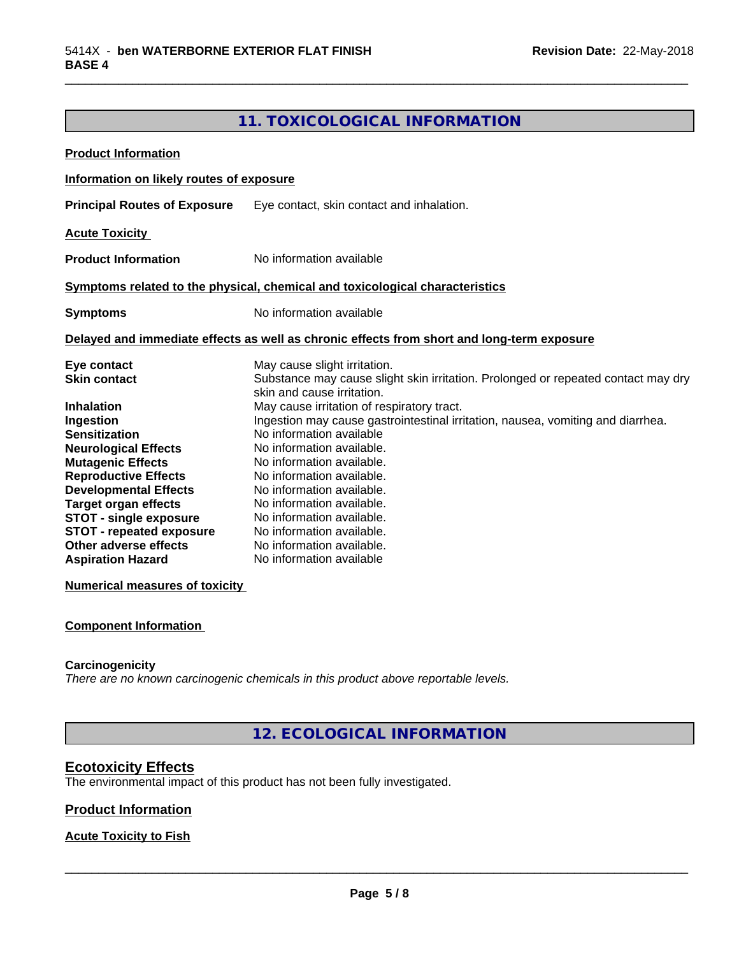# **11. TOXICOLOGICAL INFORMATION**

\_\_\_\_\_\_\_\_\_\_\_\_\_\_\_\_\_\_\_\_\_\_\_\_\_\_\_\_\_\_\_\_\_\_\_\_\_\_\_\_\_\_\_\_\_\_\_\_\_\_\_\_\_\_\_\_\_\_\_\_\_\_\_\_\_\_\_\_\_\_\_\_\_\_\_\_\_\_\_\_\_\_\_\_\_\_\_\_\_\_\_\_\_

| <b>Product Information</b>                                     |                                                                                            |
|----------------------------------------------------------------|--------------------------------------------------------------------------------------------|
| Information on likely routes of exposure                       |                                                                                            |
| <b>Principal Routes of Exposure</b>                            | Eye contact, skin contact and inhalation.                                                  |
| <b>Acute Toxicity</b>                                          |                                                                                            |
| <b>Product Information</b>                                     | No information available                                                                   |
|                                                                | Symptoms related to the physical, chemical and toxicological characteristics               |
| <b>Symptoms</b>                                                | No information available                                                                   |
|                                                                | Delayed and immediate effects as well as chronic effects from short and long-term exposure |
| Eye contact                                                    | May cause slight irritation.                                                               |
|                                                                | Substance may cause slight skin irritation. Prolonged or repeated contact may dry          |
| <b>Skin contact</b>                                            |                                                                                            |
|                                                                | skin and cause irritation.                                                                 |
|                                                                | May cause irritation of respiratory tract.                                                 |
|                                                                | Ingestion may cause gastrointestinal irritation, nausea, vomiting and diarrhea.            |
|                                                                | No information available                                                                   |
| <b>Neurological Effects</b>                                    | No information available.                                                                  |
| <b>Sensitization</b><br><b>Mutagenic Effects</b>               | No information available.                                                                  |
| <b>Reproductive Effects</b>                                    | No information available.                                                                  |
| <b>Inhalation</b><br>Ingestion<br><b>Developmental Effects</b> | No information available.                                                                  |
| <b>Target organ effects</b>                                    | No information available.                                                                  |
| <b>STOT - single exposure</b>                                  | No information available.                                                                  |
| <b>STOT - repeated exposure</b><br>Other adverse effects       | No information available.<br>No information available.                                     |

**Numerical measures of toxicity**

# **Component Information**

# **Carcinogenicity**

*There are no known carcinogenic chemicals in this product above reportable levels.*

**12. ECOLOGICAL INFORMATION**

# **Ecotoxicity Effects**

The environmental impact of this product has not been fully investigated.

# **Product Information**

# **Acute Toxicity to Fish**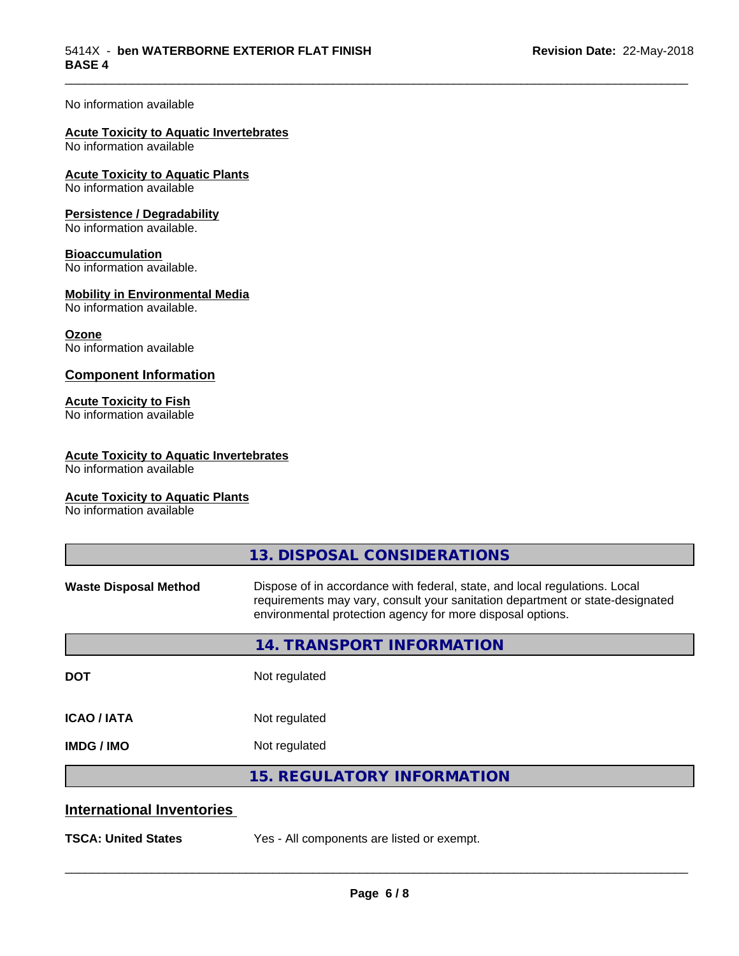\_\_\_\_\_\_\_\_\_\_\_\_\_\_\_\_\_\_\_\_\_\_\_\_\_\_\_\_\_\_\_\_\_\_\_\_\_\_\_\_\_\_\_\_\_\_\_\_\_\_\_\_\_\_\_\_\_\_\_\_\_\_\_\_\_\_\_\_\_\_\_\_\_\_\_\_\_\_\_\_\_\_\_\_\_\_\_\_\_\_\_\_\_

### No information available

# **Acute Toxicity to Aquatic Invertebrates**

No information available

# **Acute Toxicity to Aquatic Plants**

No information available

# **Persistence / Degradability**

No information available.

#### **Bioaccumulation**

No information available.

# **Mobility in Environmental Media**

No information available.

#### **Ozone**

No information available

# **Component Information**

# **Acute Toxicity to Fish**

No information available

# **Acute Toxicity to Aquatic Invertebrates**

No information available

# **Acute Toxicity to Aquatic Plants**

No information available

|                                  | 13. DISPOSAL CONSIDERATIONS                                                                                                                                                                                               |
|----------------------------------|---------------------------------------------------------------------------------------------------------------------------------------------------------------------------------------------------------------------------|
| <b>Waste Disposal Method</b>     | Dispose of in accordance with federal, state, and local regulations. Local<br>requirements may vary, consult your sanitation department or state-designated<br>environmental protection agency for more disposal options. |
|                                  | 14. TRANSPORT INFORMATION                                                                                                                                                                                                 |
| <b>DOT</b>                       | Not regulated                                                                                                                                                                                                             |
| <b>ICAO/IATA</b>                 | Not regulated                                                                                                                                                                                                             |
| IMDG / IMO                       | Not regulated                                                                                                                                                                                                             |
|                                  | <b>15. REGULATORY INFORMATION</b>                                                                                                                                                                                         |
| <b>International Inventories</b> |                                                                                                                                                                                                                           |
| <b>TSCA: United States</b>       | Yes - All components are listed or exempt.                                                                                                                                                                                |
|                                  |                                                                                                                                                                                                                           |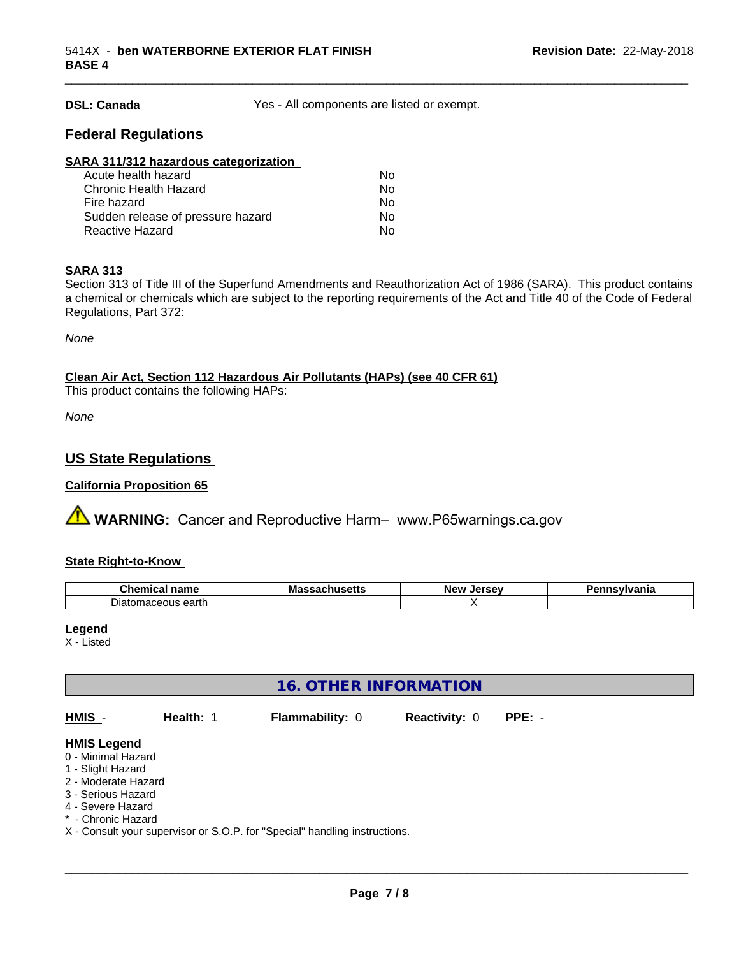**DSL: Canada** Yes - All components are listed or exempt.

\_\_\_\_\_\_\_\_\_\_\_\_\_\_\_\_\_\_\_\_\_\_\_\_\_\_\_\_\_\_\_\_\_\_\_\_\_\_\_\_\_\_\_\_\_\_\_\_\_\_\_\_\_\_\_\_\_\_\_\_\_\_\_\_\_\_\_\_\_\_\_\_\_\_\_\_\_\_\_\_\_\_\_\_\_\_\_\_\_\_\_\_\_

# **Federal Regulations**

| SARA 311/312 hazardous categorization |    |  |
|---------------------------------------|----|--|
| Acute health hazard                   | Nο |  |
| Chronic Health Hazard                 | No |  |
| Fire hazard                           | No |  |
| Sudden release of pressure hazard     | Nο |  |
| <b>Reactive Hazard</b>                | No |  |

# **SARA 313**

Section 313 of Title III of the Superfund Amendments and Reauthorization Act of 1986 (SARA). This product contains a chemical or chemicals which are subject to the reporting requirements of the Act and Title 40 of the Code of Federal Regulations, Part 372:

*None*

# **Clean Air Act,Section 112 Hazardous Air Pollutants (HAPs) (see 40 CFR 61)**

This product contains the following HAPs:

*None*

# **US State Regulations**

# **California Proposition 65**

**A** WARNING: Cancer and Reproductive Harm– www.P65warnings.ca.gov

# **State Right-to-Know**

| <u>АL</u><br>------<br>- -- -<br>name<br>Chemical         | Mas:<br>-<br>---- | <b>SECOL</b><br>Nev.<br><br>$-1$ | <b>nsvivania</b> |
|-----------------------------------------------------------|-------------------|----------------------------------|------------------|
| -<br>$\sim$<br>$\sim$<br>maceous<br>olato<br><b>GALUI</b> |                   |                                  |                  |

#### **Legend**

X - Listed

| <b>16. OTHER INFORMATION</b>                                                                                                                          |                  |                                                                            |                      |          |  |  |
|-------------------------------------------------------------------------------------------------------------------------------------------------------|------------------|----------------------------------------------------------------------------|----------------------|----------|--|--|
| HMIS -                                                                                                                                                | <b>Health: 1</b> | <b>Flammability: 0</b>                                                     | <b>Reactivity: 0</b> | $PPE: -$ |  |  |
| <b>HMIS Legend</b><br>0 - Minimal Hazard<br>1 - Slight Hazard<br>2 - Moderate Hazard<br>3 - Serious Hazard<br>4 - Severe Hazard<br>* - Chronic Hazard |                  | X - Consult your supervisor or S.O.P. for "Special" handling instructions. |                      |          |  |  |